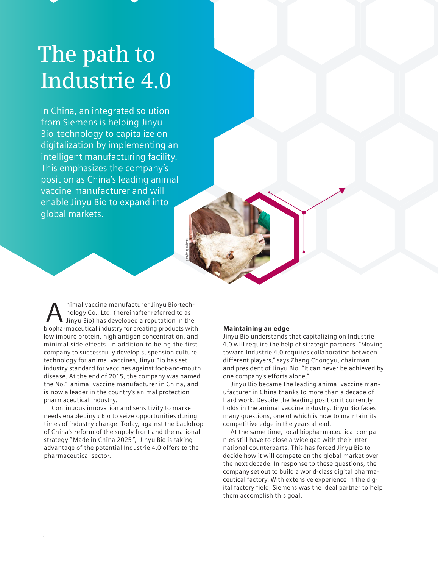# **The path to Industrie 4.0**

In China, an integrated solution from Siemens is helping Jinyu Bio-technology to capitalize on digitalization by implementing an intelligent manufacturing facility. This emphasizes the company's position as China's leading animal vaccine manufacturer and will enable Jinyu Bio to expand into global markets.

nimal vaccine manufacturer Jinyu Bio-technology Co., Ltd. (hereinafter referred to as Jinyu Bio) has developed a reputation in the himal vaccine manufacturer Jinyu Bio-tech-<br>nology Co., Ltd. (hereinafter referred to as<br>biopharmaceutical industry for creating products with low impure protein, high antigen concentration, and company to successfully develop suspension culture technology for animal vaccines, Jinyu Bio has set industry standard for vaccines against foot-and-mouth disease. At the end of 2015, the company was named the No.1 animal vaccine manufacturer in China, and is now a leader in the country's animal protection pharmaceutical industry. minimal side effects. In addition to being the first

gettyimages/Jevtic

Continuous innovation and sensitivity to market needs enable Jinyu Bio to seize opportunities during times of industry change. Today, against the backdrop of China's reform of the supply front and the national strategy " Made in China 2025 ", Jinyu Bio is taking advantage of the potential Industrie 4.0 offers to the pharmaceutical sector.

## Maintaining an edge

Jinyu Bio understands that capitalizing on Industrie 4.0 will require the help of strategic partners. "Moving toward Industrie 4.0 requires collaboration between different players," says Zhang Chongyu, chairman and president of Jinyu Bio. "It can never be achieved by one company's efforts alone."

Jinyu Bio became the leading animal vaccine manufacturer in China thanks to more than a decade of hard work. Despite the leading position it currently holds in the animal vaccine industry, Jinyu Bio faces many questions, one of which is how to maintain its competitive edge in the years ahead.

At the same time, local biopharmaceutical compa nies still have to close a wide gap with their international counterparts. This has forced Jinyu Bio to decide how it will compete on the global market over the next decade. In response to these questions, the company set out to build a world-class digital pharmaceutical factory. With extensive experience in the digthem accomplish this goal. ital factory field, Siemens was the ideal partner to help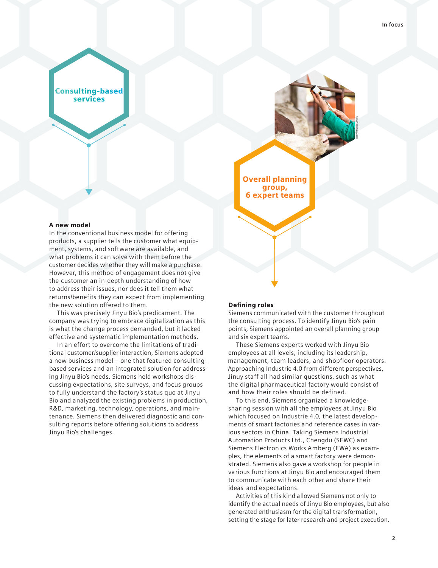gettyimages/Jevtic

**Consulting-based** services

### A new model

In the conventional business model for offering products, a supplier tells the customer what equipment, systems, and software are available, and what problems it can solve with them before the customer decides whether they will make a purchase. However, this method of engagement does not give the customer an in-depth understanding of how to address their issues, nor does it tell them what the new solution offered to them. returns/benefits they can expect from implementing

This was precisely Jinyu Bio's predicament. The company was trying to embrace digitalization as this is what the change process demanded, but it lacked effective and systematic implementation methods.

In an effort to overcome the limitations of traditional customer/supplier interaction, Siemens adopted a new business model – one that featured consultingbased services and an integrated solution for addressing Jinyu Bio's needs. Siemens held workshops discussing expectations, site surveys, and focus groups to fully understand the factory's status quo at Jinyu Bio and analyzed the existing problems in production, R&D, marketing, technology, operations, and maintenance. Siemens then delivered diagnostic and consulting reports before offering solutions to address Jinyu Bio's challenges.

## **Defining roles**

Overall planning group, 6 expert teams

Siemens communicated with the customer throughout the consulting process. To identify Jinyu Bio's pain points, Siemens appointed an overall planning group and six expert teams.

These Siemens experts worked with Jinyu Bio employees at all levels, including its leadership, Approaching Industrie 4.0 from different perspectives, Jinuy staff all had similar questions, such as what the digital pharmaceutical factory would consist of management, team leaders, and shopfloor operators. and how their roles should be defined.

To this end, Siemens organized a knowledgesharing session with all the employees at Jinyu Bio which focused on Industrie 4.0, the latest developments of smart factories and reference cases in various sectors in China. Taking Siemens Industrial Automation Products Ltd., Chengdu (SEWC) and Siemens Electronics Works Amberg (EWA) as examples, the elements of a smart factory were demonstrated. Siemens also gave a workshop for people in various functions at Jinyu Bio and encouraged them to communicate with each other and share their ideas and expectations.

Activities of this kind allowed Siemens not only to identify the actual needs of Jinyu Bio employees, but also generated enthusiasm for the digital transformation, setting the stage for later research and project execution.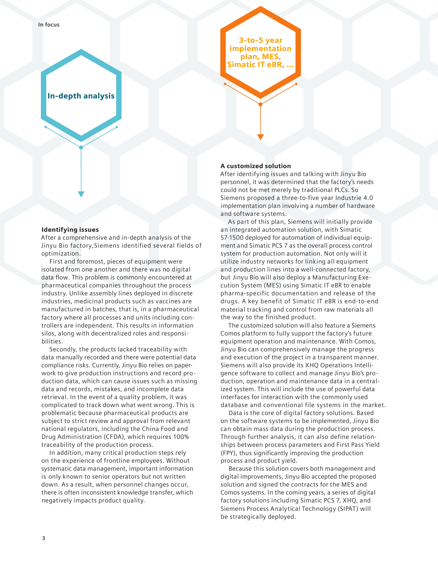**In focus**

## In-depth analysis

## Identifying issues

After a comprehensive and in-depth analysis of the optimization. Jinyu Bio factory,Siemens identified several fields of

First and foremost, pieces of equipment were isolated from one another and there was no digital pharmaceutical companies throughout the process industry. Unlike assembly lines deployed in discrete industries, medicinal products such as vaccines are manufactured in batches, that is, in a pharmaceutical factory where all processes and units including controllers are independent. This results in information silos, along with decentralized roles and responsibilities. data flow. This problem is commonly encountered at

Secondly, the products lacked traceability with data manually recorded and there were potential data compliance risks. Currently, Jinyu Bio relies on paperwork to give production instructions and record production data, which can cause issues such as missing data and records, mistakes, and incomplete data retrieval. In the event of a quality problem, it was complicated to track down what went wrong. This is problematic because pharmaceutical products are subject to strict review and approval from relevant national regulators, including the China Food and Drug Administration (CFDA), which requires 100% traceability of the production process.

In addition, many critical production steps rely on the experience of frontline employees. Without systematic data management, important information is only known to senior operators but not written down. As a result, when personnel changes occur, there is often inconsistent knowledge transfer, which negatively impacts product quality.

3-to-5 year implementation plan, MES, Simatic IT eBR, ...

## A customized solution

After identifying issues and talking with Jinyu Bio personnel, it was determined that the factory's needs could not be met merely by traditional PLCs. So implementation plan involving a number of hardware and software systems. Siemens proposed a three-to-five year Industrie 4.0

As part of this plan, Siemens will initially provide an integrated automation solution, with Simatic S7-1500 deployed for automation of individual equipment and Simatic PCS 7 as the overall process control system for production automation. Not only will it utilize industry networks for linking all equipment and production lines into a well-connected factory, but Jinyu Bio will also deploy a Manufacturing Execution System (MES) using Simatic IT eBR to enable material tracking and control from raw materials all pharma-specific documentation and release of the drugs. A key benefit of Simatic IT eBR is end-to-end the way to the finished product.

The customized solution will also feature a Siemens Comos platform to fully support the factory's future equipment operation and maintenance. With Comos, Jinyu Bio can comprehensively manage the progress and execution of the project in a transparent manner. Siemens will also provide its XHQ Operations Intelligence software to collect and manage Jinyu Bio's production, operation and maintenance data in a centralized system. This will include the use of powerful data interfaces for interaction with the commonly used database and conventional file systems in the market.

Data is the core of digital factory solutions. Based on the software systems to be implemented, Jinyu Bio can obtain mass data during the production process. ships between process parameters and First Pass Yield process and product yield. Through further analysis, it can also define relation- (FPY), thus significantly improving the production

Because this solution covers both management and digital improvements, Jinyu Bio accepted the proposed solution and signed the contracts for the MES and Comos systems. In the coming years, a series of digital factory solutions including Simatic PCS 7, XHQ, and Siemens Process Analytical Technology (SIPAT) will be strategically deployed.